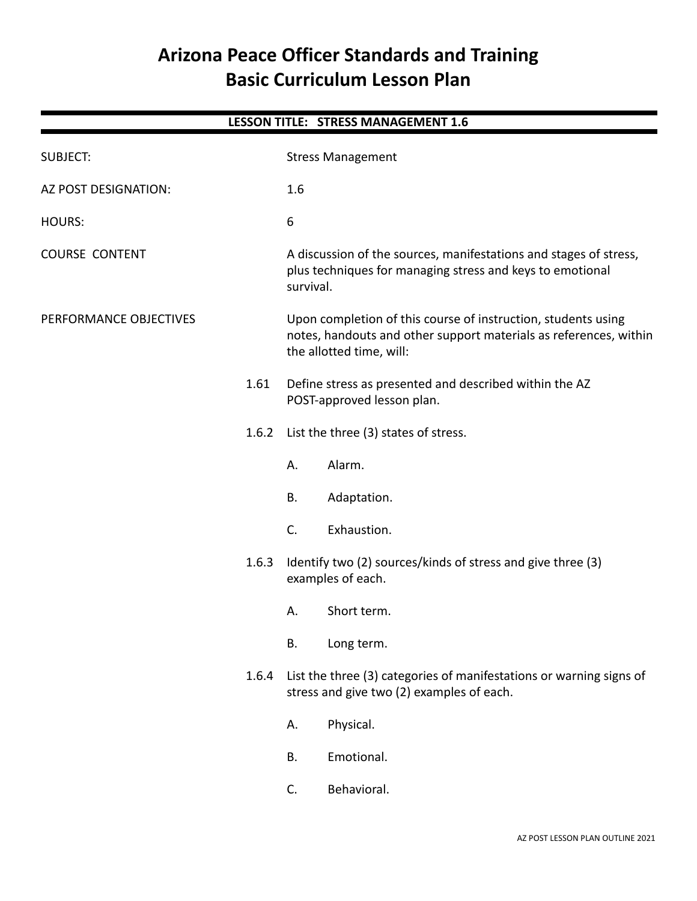# **Arizona Peace Officer Standards and Training Basic Curriculum Lesson Plan**

| <b>LESSON TITLE: STRESS MANAGEMENT 1.6</b> |       |                                                                                                                                                                |  |  |
|--------------------------------------------|-------|----------------------------------------------------------------------------------------------------------------------------------------------------------------|--|--|
| <b>SUBJECT:</b>                            |       | <b>Stress Management</b>                                                                                                                                       |  |  |
| AZ POST DESIGNATION:                       |       | 1.6                                                                                                                                                            |  |  |
| HOURS:                                     |       | 6                                                                                                                                                              |  |  |
| <b>COURSE CONTENT</b>                      |       | A discussion of the sources, manifestations and stages of stress,<br>plus techniques for managing stress and keys to emotional<br>survival.                    |  |  |
| PERFORMANCE OBJECTIVES                     |       | Upon completion of this course of instruction, students using<br>notes, handouts and other support materials as references, within<br>the allotted time, will: |  |  |
|                                            | 1.61  | Define stress as presented and described within the AZ<br>POST-approved lesson plan.                                                                           |  |  |
|                                            | 1.6.2 | List the three (3) states of stress.                                                                                                                           |  |  |
|                                            |       | Alarm.<br>Α.                                                                                                                                                   |  |  |
|                                            |       | <b>B.</b><br>Adaptation.                                                                                                                                       |  |  |
|                                            |       | C.<br>Exhaustion.                                                                                                                                              |  |  |
| 1.6.3                                      |       | Identify two (2) sources/kinds of stress and give three (3)<br>examples of each.                                                                               |  |  |
|                                            |       | Short term.<br>А.                                                                                                                                              |  |  |
|                                            |       | <b>B.</b><br>Long term.                                                                                                                                        |  |  |
|                                            | 1.6.4 | List the three (3) categories of manifestations or warning signs of<br>stress and give two (2) examples of each.                                               |  |  |
|                                            |       | Physical.<br>А.                                                                                                                                                |  |  |
|                                            |       | Emotional.<br>Β.                                                                                                                                               |  |  |
|                                            |       | Behavioral.<br>C.                                                                                                                                              |  |  |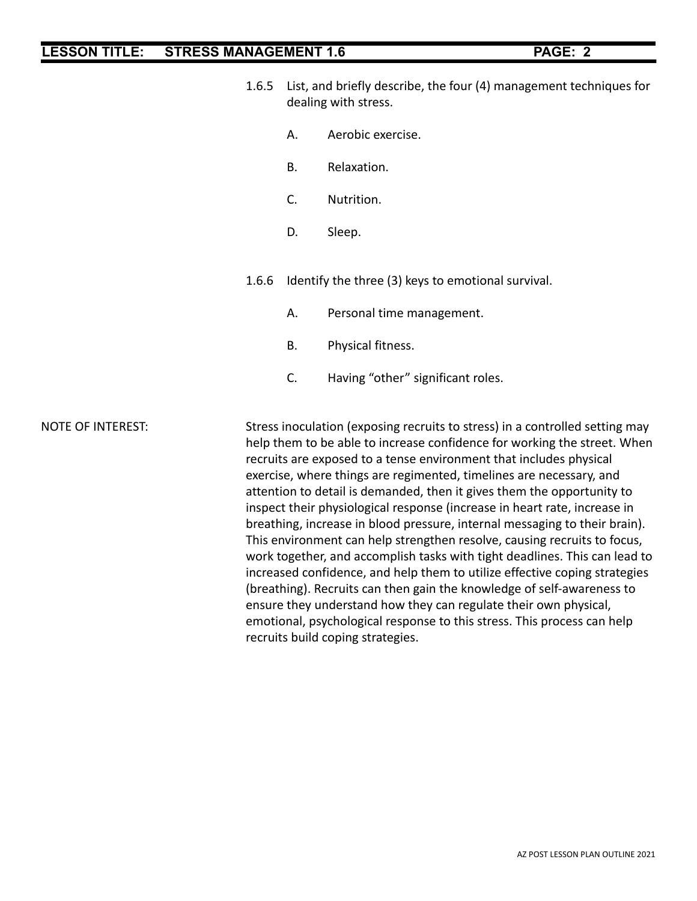- 1.6.5 List, and briefly describe, the four (4) management techniques for dealing with stress.
	- A. Aerobic exercise.
	- B. Relaxation.
	- C. Nutrition.
	- D. Sleep.

1.6.6 Identify the three (3) keys to emotional survival.

- A. Personal time management.
- B. Physical fitness.
- C. Having "other" significant roles.

NOTE OF INTEREST: Stress inoculation (exposing recruits to stress) in a controlled setting may help them to be able to increase confidence for working the street. When recruits are exposed to a tense environment that includes physical exercise, where things are regimented, timelines are necessary, and attention to detail is demanded, then it gives them the opportunity to inspect their physiological response (increase in heart rate, increase in breathing, increase in blood pressure, internal messaging to their brain). This environment can help strengthen resolve, causing recruits to focus, work together, and accomplish tasks with tight deadlines. This can lead to increased confidence, and help them to utilize effective coping strategies (breathing). Recruits can then gain the knowledge of self-awareness to ensure they understand how they can regulate their own physical, emotional, psychological response to this stress. This process can help recruits build coping strategies.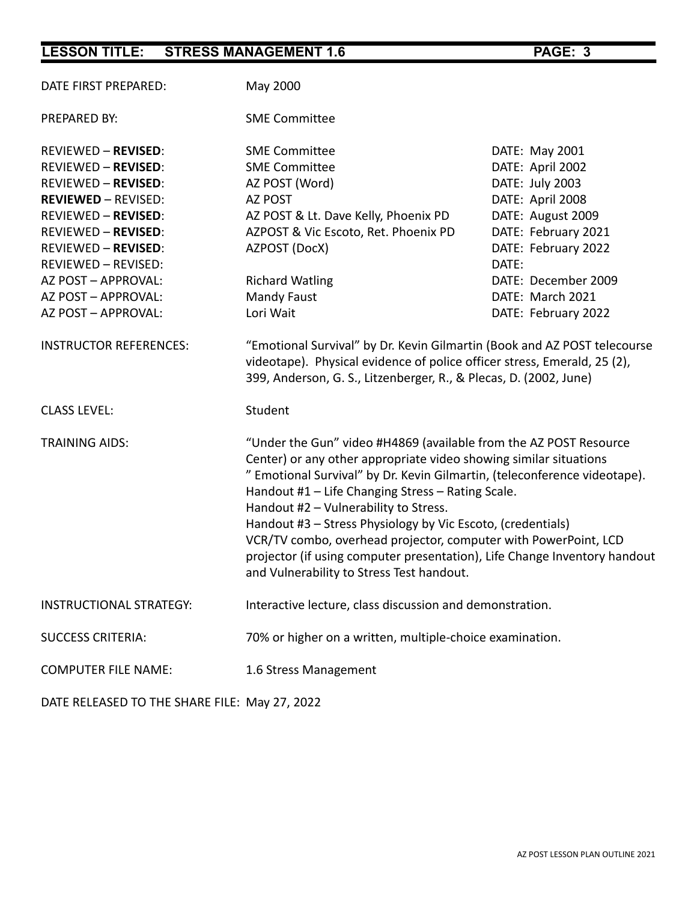| DATE FIRST PREPARED:                                                                                                                                                                                                                                                                | May 2000                                                                                                                                                                                                                                                                                                                                                                                                                                                                                                                                                                      |                                                                                                                                                                                                  |  |  |
|-------------------------------------------------------------------------------------------------------------------------------------------------------------------------------------------------------------------------------------------------------------------------------------|-------------------------------------------------------------------------------------------------------------------------------------------------------------------------------------------------------------------------------------------------------------------------------------------------------------------------------------------------------------------------------------------------------------------------------------------------------------------------------------------------------------------------------------------------------------------------------|--------------------------------------------------------------------------------------------------------------------------------------------------------------------------------------------------|--|--|
| PREPARED BY:                                                                                                                                                                                                                                                                        | <b>SME Committee</b>                                                                                                                                                                                                                                                                                                                                                                                                                                                                                                                                                          |                                                                                                                                                                                                  |  |  |
| <b>REVIEWED - REVISED:</b><br><b>REVIEWED - REVISED:</b><br><b>REVIEWED - REVISED:</b><br><b>REVIEWED - REVISED:</b><br><b>REVIEWED - REVISED:</b><br><b>REVIEWED - REVISED:</b><br><b>REVIEWED - REVISED:</b><br>REVIEWED - REVISED:<br>AZ POST - APPROVAL:<br>AZ POST - APPROVAL: | <b>SME Committee</b><br><b>SME Committee</b><br>AZ POST (Word)<br>AZ POST<br>AZ POST & Lt. Dave Kelly, Phoenix PD<br>AZPOST & Vic Escoto, Ret. Phoenix PD<br>AZPOST (DocX)<br><b>Richard Watling</b><br>Mandy Faust                                                                                                                                                                                                                                                                                                                                                           | DATE: May 2001<br>DATE: April 2002<br>DATE: July 2003<br>DATE: April 2008<br>DATE: August 2009<br>DATE: February 2021<br>DATE: February 2022<br>DATE:<br>DATE: December 2009<br>DATE: March 2021 |  |  |
| AZ POST - APPROVAL:                                                                                                                                                                                                                                                                 | Lori Wait                                                                                                                                                                                                                                                                                                                                                                                                                                                                                                                                                                     | DATE: February 2022                                                                                                                                                                              |  |  |
| <b>INSTRUCTOR REFERENCES:</b>                                                                                                                                                                                                                                                       | "Emotional Survival" by Dr. Kevin Gilmartin (Book and AZ POST telecourse<br>videotape). Physical evidence of police officer stress, Emerald, 25 (2),<br>399, Anderson, G. S., Litzenberger, R., & Plecas, D. (2002, June)                                                                                                                                                                                                                                                                                                                                                     |                                                                                                                                                                                                  |  |  |
| <b>CLASS LEVEL:</b>                                                                                                                                                                                                                                                                 | Student                                                                                                                                                                                                                                                                                                                                                                                                                                                                                                                                                                       |                                                                                                                                                                                                  |  |  |
| <b>TRAINING AIDS:</b>                                                                                                                                                                                                                                                               | "Under the Gun" video #H4869 (available from the AZ POST Resource<br>Center) or any other appropriate video showing similar situations<br>" Emotional Survival" by Dr. Kevin Gilmartin, (teleconference videotape).<br>Handout #1 - Life Changing Stress - Rating Scale.<br>Handout #2 - Vulnerability to Stress.<br>Handout #3 - Stress Physiology by Vic Escoto, (credentials)<br>VCR/TV combo, overhead projector, computer with PowerPoint, LCD<br>projector (if using computer presentation), Life Change Inventory handout<br>and Vulnerability to Stress Test handout. |                                                                                                                                                                                                  |  |  |
| <b>INSTRUCTIONAL STRATEGY:</b>                                                                                                                                                                                                                                                      | Interactive lecture, class discussion and demonstration.                                                                                                                                                                                                                                                                                                                                                                                                                                                                                                                      |                                                                                                                                                                                                  |  |  |
| <b>SUCCESS CRITERIA:</b>                                                                                                                                                                                                                                                            | 70% or higher on a written, multiple-choice examination.                                                                                                                                                                                                                                                                                                                                                                                                                                                                                                                      |                                                                                                                                                                                                  |  |  |
| <b>COMPUTER FILE NAME:</b>                                                                                                                                                                                                                                                          | 1.6 Stress Management                                                                                                                                                                                                                                                                                                                                                                                                                                                                                                                                                         |                                                                                                                                                                                                  |  |  |

DATE RELEASED TO THE SHARE FILE: May 27, 2022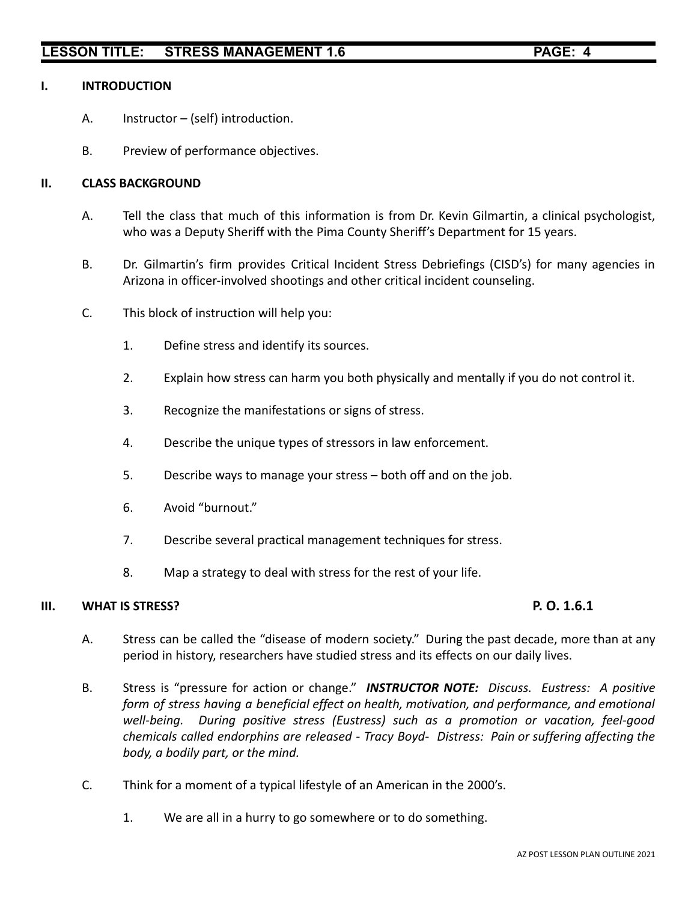### **I. INTRODUCTION**

- A. Instructor (self) introduction.
- B. Preview of performance objectives.

### **II. CLASS BACKGROUND**

- A. Tell the class that much of this information is from Dr. Kevin Gilmartin, a clinical psychologist, who was a Deputy Sheriff with the Pima County Sheriff's Department for 15 years.
- B. Dr. Gilmartin's firm provides Critical Incident Stress Debriefings (CISD's) for many agencies in Arizona in officer-involved shootings and other critical incident counseling.
- C. This block of instruction will help you:
	- 1. Define stress and identify its sources.
	- 2. Explain how stress can harm you both physically and mentally if you do not control it.
	- 3. Recognize the manifestations or signs of stress.
	- 4. Describe the unique types of stressors in law enforcement.
	- 5. Describe ways to manage your stress both off and on the job.
	- 6. Avoid "burnout."
	- 7. Describe several practical management techniques for stress.
	- 8. Map a strategy to deal with stress for the rest of your life.

### **III. WHAT IS STRESS? P. O. 1.6.1**

- A. Stress can be called the "disease of modern society." During the past decade, more than at any period in history, researchers have studied stress and its effects on our daily lives.
- B. Stress is "pressure for action or change." *INSTRUCTOR NOTE: Discuss. Eustress: A positive form of stress having a beneficial effect on health, motivation, and performance, and emotional well-being. During positive stress (Eustress) such as a promotion or vacation, feel-good chemicals called endorphins are released - Tracy Boyd- Distress: Pain or suffering affecting the body, a bodily part, or the mind.*
- C. Think for a moment of a typical lifestyle of an American in the 2000's.
	- 1. We are all in a hurry to go somewhere or to do something.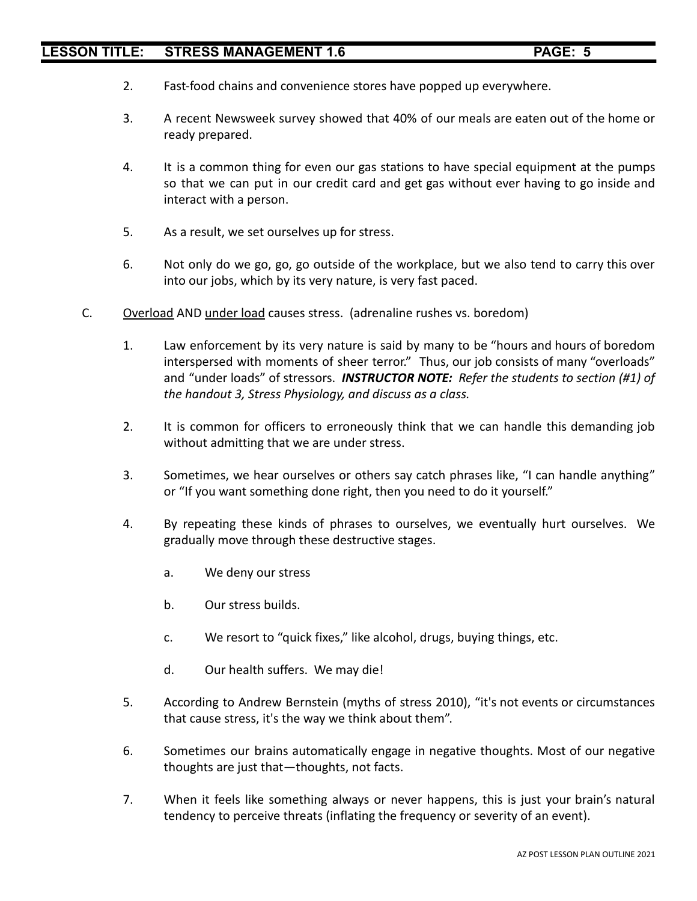- 2. Fast-food chains and convenience stores have popped up everywhere.
- 3. A recent Newsweek survey showed that 40% of our meals are eaten out of the home or ready prepared.
- 4. It is a common thing for even our gas stations to have special equipment at the pumps so that we can put in our credit card and get gas without ever having to go inside and interact with a person.
- 5. As a result, we set ourselves up for stress.
- 6. Not only do we go, go, go outside of the workplace, but we also tend to carry this over into our jobs, which by its very nature, is very fast paced.
- C. Overload AND under load causes stress. (adrenaline rushes vs. boredom)
	- 1. Law enforcement by its very nature is said by many to be "hours and hours of boredom interspersed with moments of sheer terror." Thus, our job consists of many "overloads" and "under loads" of stressors. *INSTRUCTOR NOTE: Refer the students to section (#1) of the handout 3, Stress Physiology, and discuss as a class.*
	- 2. It is common for officers to erroneously think that we can handle this demanding job without admitting that we are under stress.
	- 3. Sometimes, we hear ourselves or others say catch phrases like, "I can handle anything" or "If you want something done right, then you need to do it yourself."
	- 4. By repeating these kinds of phrases to ourselves, we eventually hurt ourselves. We gradually move through these destructive stages.
		- a. We deny our stress
		- b. Our stress builds.
		- c. We resort to "quick fixes," like alcohol, drugs, buying things, etc.
		- d. Our health suffers. We may die!
	- 5. According to Andrew Bernstein (myths of stress 2010), "it's not events or circumstances that cause stress, it's the way we think about them".
	- 6. Sometimes our brains automatically engage in negative thoughts. Most of our negative thoughts are just that—thoughts, not facts.
	- 7. When it feels like something always or never happens, this is just your brain's natural tendency to perceive threats (inflating the frequency or severity of an event).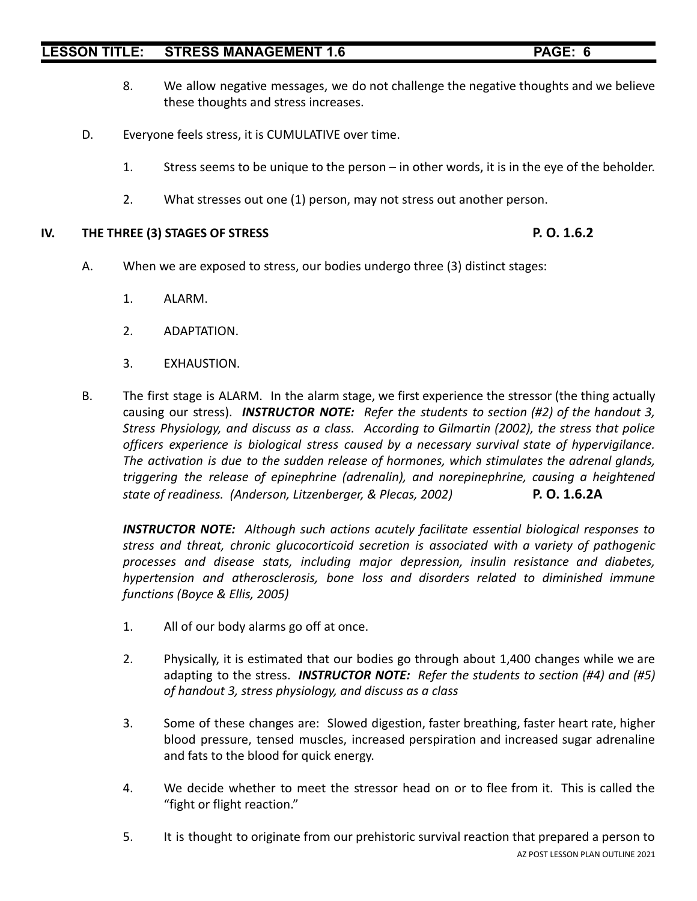- 8. We allow negative messages, we do not challenge the negative thoughts and we believe these thoughts and stress increases.
- D. Everyone feels stress, it is CUMULATIVE over time.
	- 1. Stress seems to be unique to the person in other words, it is in the eye of the beholder.
	- 2. What stresses out one (1) person, may not stress out another person.

### **IV. THE THREE (3) STAGES OF STRESS P. O. 1.6.2**

- A. When we are exposed to stress, our bodies undergo three (3) distinct stages:
	- 1. ALARM.
	- 2. ADAPTATION.
	- 3. EXHAUSTION.
- B. The first stage is ALARM. In the alarm stage, we first experience the stressor (the thing actually causing our stress). *INSTRUCTOR NOTE: Refer the students to section (#2) of the handout 3, Stress Physiology, and discuss as a class. According to Gilmartin (2002), the stress that police officers experience is biological stress caused by a necessary survival state of hypervigilance. The activation is due to the sudden release of hormones, which stimulates the adrenal glands, triggering the release of epinephrine (adrenalin), and norepinephrine, causing a heightened state of readiness. (Anderson, Litzenberger, & Plecas, 2002)* **P. O. 1.6.2A**

*INSTRUCTOR NOTE: Although such actions acutely facilitate essential biological responses to stress and threat, chronic glucocorticoid secretion is associated with a variety of pathogenic processes and disease stats, including major depression, insulin resistance and diabetes, hypertension and atherosclerosis, bone loss and disorders related to diminished immune functions (Boyce & Ellis, 2005)*

- 1. All of our body alarms go off at once.
- 2. Physically, it is estimated that our bodies go through about 1,400 changes while we are adapting to the stress. *INSTRUCTOR NOTE: Refer the students to section (#4) and (#5) of handout 3, stress physiology, and discuss as a class*
- 3. Some of these changes are: Slowed digestion, faster breathing, faster heart rate, higher blood pressure, tensed muscles, increased perspiration and increased sugar adrenaline and fats to the blood for quick energy.
- 4. We decide whether to meet the stressor head on or to flee from it. This is called the "fight or flight reaction."
- 5. It is thought to originate from our prehistoric survival reaction that prepared a person to AZ POST LESSON PLAN OUTLINE 2021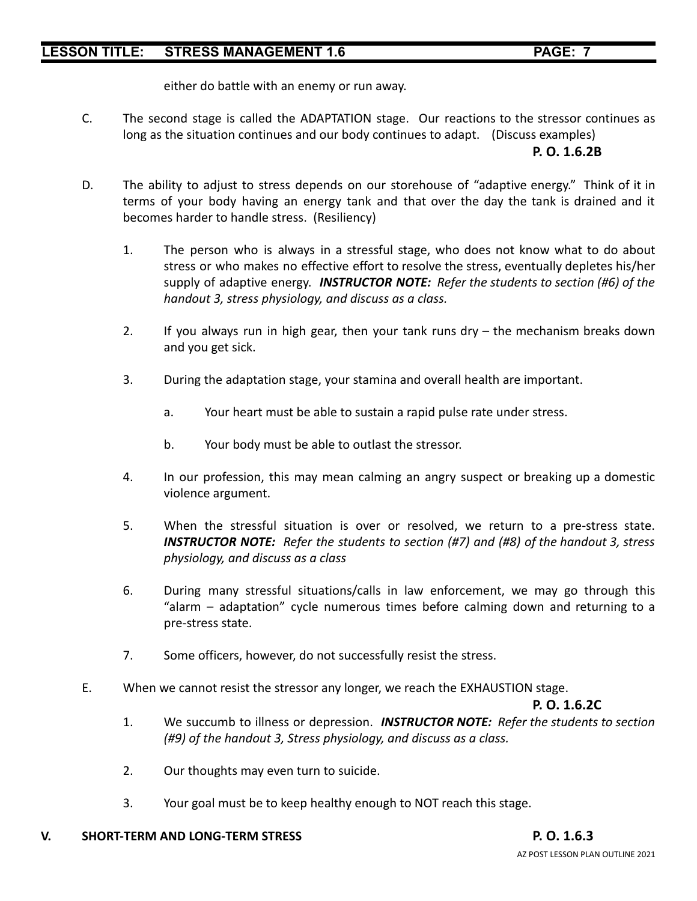either do battle with an enemy or run away.

C. The second stage is called the ADAPTATION stage. Our reactions to the stressor continues as long as the situation continues and our body continues to adapt. (Discuss examples) **P. O. 1.6.2B**

# D. The ability to adjust to stress depends on our storehouse of "adaptive energy." Think of it in terms of your body having an energy tank and that over the day the tank is drained and it becomes harder to handle stress. (Resiliency)

- 1. The person who is always in a stressful stage, who does not know what to do about stress or who makes no effective effort to resolve the stress, eventually depletes his/her supply of adaptive energy. *INSTRUCTOR NOTE: Refer the students to section (#6) of the handout 3, stress physiology, and discuss as a class.*
- 2. If you always run in high gear, then your tank runs dry the mechanism breaks down and you get sick.
- 3. During the adaptation stage, your stamina and overall health are important.
	- a. Your heart must be able to sustain a rapid pulse rate under stress.
	- b. Your body must be able to outlast the stressor.
- 4. In our profession, this may mean calming an angry suspect or breaking up a domestic violence argument.
- 5. When the stressful situation is over or resolved, we return to a pre-stress state. *INSTRUCTOR NOTE: Refer the students to section (#7) and (#8) of the handout 3, stress physiology, and discuss as a class*
- 6. During many stressful situations/calls in law enforcement, we may go through this "alarm – adaptation" cycle numerous times before calming down and returning to a pre-stress state.
- 7. Some officers, however, do not successfully resist the stress.
- E. When we cannot resist the stressor any longer, we reach the EXHAUSTION stage.

# **P. O. 1.6.2C**

- 1. We succumb to illness or depression. *INSTRUCTOR NOTE: Refer the students to section (#9) of the handout 3, Stress physiology, and discuss as a class.*
- 2. Our thoughts may even turn to suicide.
- 3. Your goal must be to keep healthy enough to NOT reach this stage.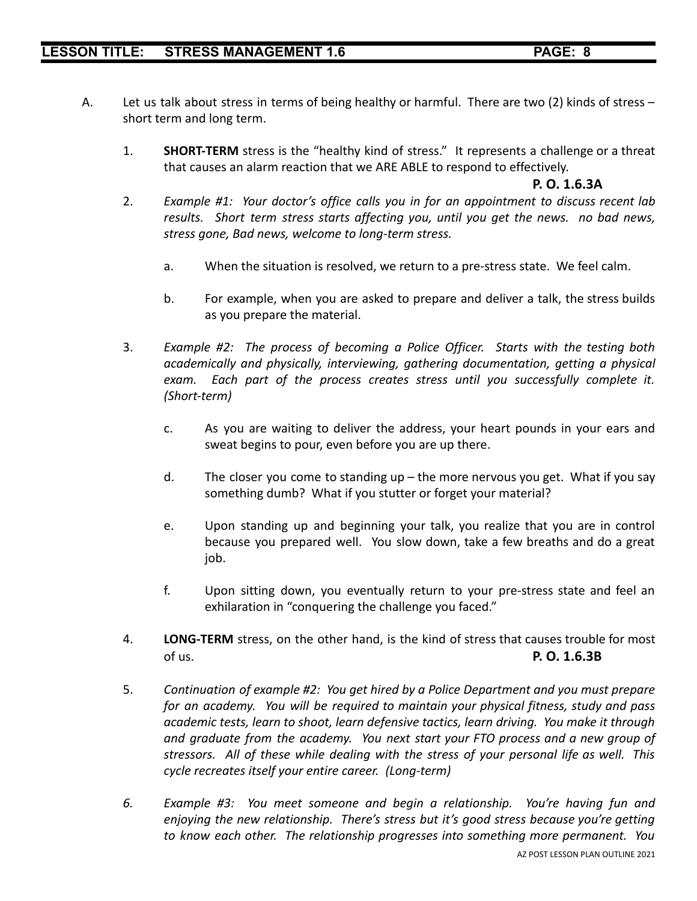- A. Let us talk about stress in terms of being healthy or harmful. There are two (2) kinds of stress short term and long term.
	- 1. **SHORT-TERM** stress is the "healthy kind of stress." It represents a challenge or a threat that causes an alarm reaction that we ARE ABLE to respond to effectively.

### **P. O. 1.6.3A**

- 2. *Example #1: Your doctor's office calls you in for an appointment to discuss recent lab results. Short term stress starts affecting you, until you get the news. no bad news, stress gone, Bad news, welcome to long-term stress.*
	- a. When the situation is resolved, we return to a pre-stress state. We feel calm.
	- b. For example, when you are asked to prepare and deliver a talk, the stress builds as you prepare the material.
- 3. *Example #2: The process of becoming a Police Officer. Starts with the testing both academically and physically, interviewing, gathering documentation, getting a physical exam. Each part of the process creates stress until you successfully complete it. (Short-term)*
	- c. As you are waiting to deliver the address, your heart pounds in your ears and sweat begins to pour, even before you are up there.
	- d. The closer you come to standing up the more nervous you get. What if you say something dumb? What if you stutter or forget your material?
	- e. Upon standing up and beginning your talk, you realize that you are in control because you prepared well. You slow down, take a few breaths and do a great job.
	- f. Upon sitting down, you eventually return to your pre-stress state and feel an exhilaration in "conquering the challenge you faced."
- 4. **LONG-TERM** stress, on the other hand, is the kind of stress that causes trouble for most of us. **P. O. 1.6.3B**
- 5. *Continuation of example #2: You get hired by a Police Department and you must prepare for an academy. You will be required to maintain your physical fitness, study and pass academic tests, learn to shoot, learn defensive tactics, learn driving. You make it through and graduate from the academy. You next start your FTO process and a new group of stressors. All of these while dealing with the stress of your personal life as well. This cycle recreates itself your entire career. (Long-term)*
- *6. Example #3: You meet someone and begin a relationship. You're having fun and enjoying the new relationship. There's stress but it's good stress because you're getting to know each other. The relationship progresses into something more permanent. You*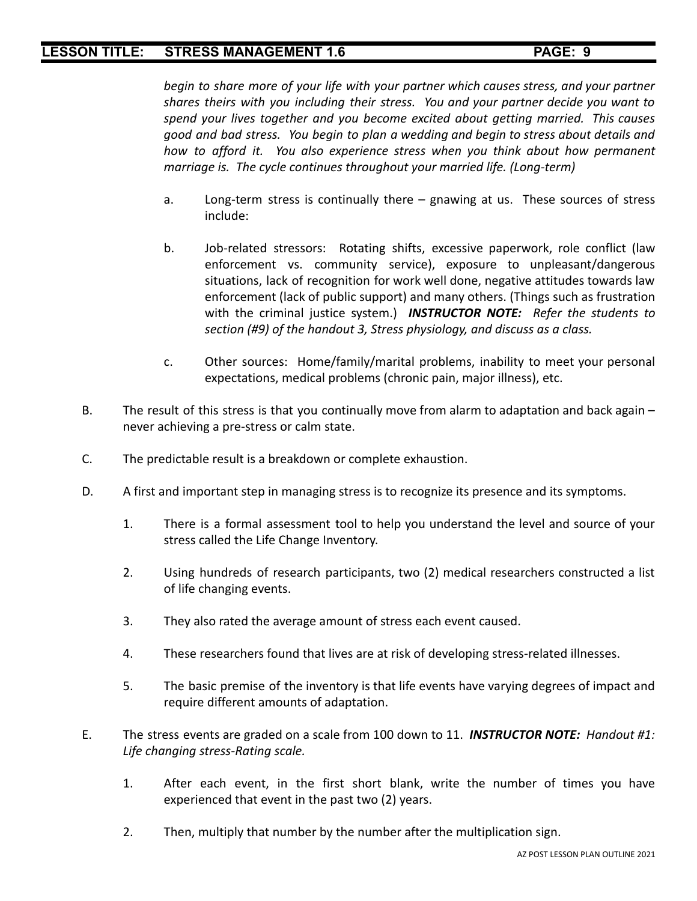*begin to share more of your life with your partner which causes stress, and your partner shares theirs with you including their stress. You and your partner decide you want to spend your lives together and you become excited about getting married. This causes good and bad stress. You begin to plan a wedding and begin to stress about details and how to afford it. You also experience stress when you think about how permanent marriage is. The cycle continues throughout your married life. (Long-term)*

- a. Long-term stress is continually there gnawing at us. These sources of stress include:
- b. Job-related stressors: Rotating shifts, excessive paperwork, role conflict (law enforcement vs. community service), exposure to unpleasant/dangerous situations, lack of recognition for work well done, negative attitudes towards law enforcement (lack of public support) and many others. (Things such as frustration with the criminal justice system.) *INSTRUCTOR NOTE: Refer the students to section (#9) of the handout 3, Stress physiology, and discuss as a class.*
- c. Other sources: Home/family/marital problems, inability to meet your personal expectations, medical problems (chronic pain, major illness), etc.
- B. The result of this stress is that you continually move from alarm to adaptation and back again never achieving a pre-stress or calm state.
- C. The predictable result is a breakdown or complete exhaustion.
- D. A first and important step in managing stress is to recognize its presence and its symptoms.
	- 1. There is a formal assessment tool to help you understand the level and source of your stress called the Life Change Inventory.
	- 2. Using hundreds of research participants, two (2) medical researchers constructed a list of life changing events.
	- 3. They also rated the average amount of stress each event caused.
	- 4. These researchers found that lives are at risk of developing stress-related illnesses.
	- 5. The basic premise of the inventory is that life events have varying degrees of impact and require different amounts of adaptation.
- E. The stress events are graded on a scale from 100 down to 11. *INSTRUCTOR NOTE: Handout #1: Life changing stress-Rating scale.*
	- 1. After each event, in the first short blank, write the number of times you have experienced that event in the past two (2) years.
	- 2. Then, multiply that number by the number after the multiplication sign.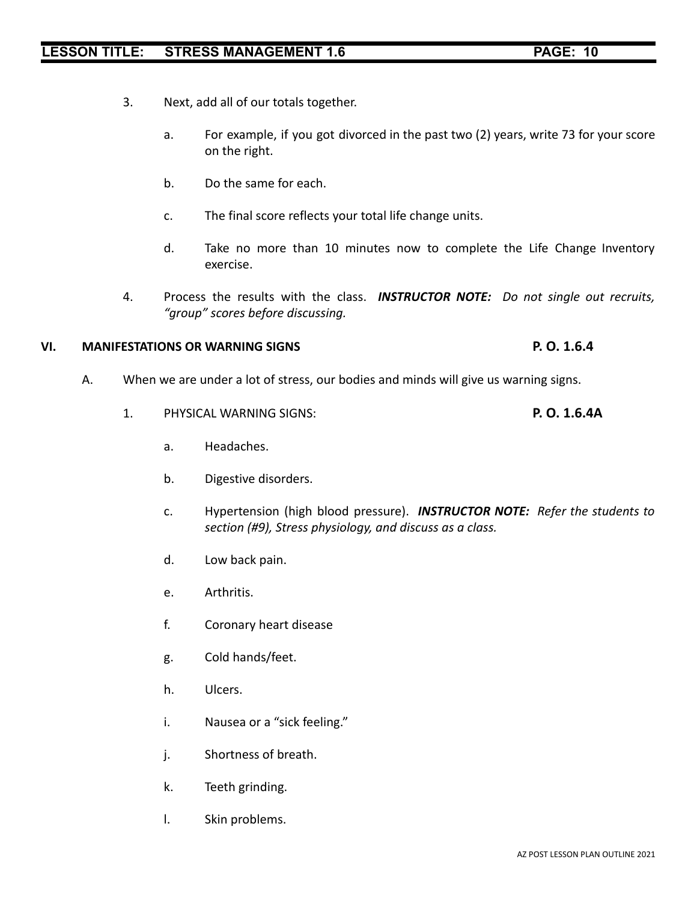- 
- 3. Next, add all of our totals together.
	- a. For example, if you got divorced in the past two (2) years, write 73 for your score on the right.
	- b. Do the same for each.
	- c. The final score reflects your total life change units.
	- d. Take no more than 10 minutes now to complete the Life Change Inventory exercise.
- 4. Process the results with the class. *INSTRUCTOR NOTE: Do not single out recruits, "group" scores before discussing.*

## **VI. MANIFESTATIONS OR WARNING SIGNS P. O. 1.6.4**

- A. When we are under a lot of stress, our bodies and minds will give us warning signs.
	- 1. PHYSICAL WARNING SIGNS: **P. O. 1.6.4A**
		- a. Headaches.
		- b. Digestive disorders.
		- c. Hypertension (high blood pressure). *INSTRUCTOR NOTE: Refer the students to section (#9), Stress physiology, and discuss as a class.*
		- d. Low back pain.
		- e. Arthritis.
		- f. Coronary heart disease
		- g. Cold hands/feet.
		- h. Ulcers.
		- i. Nausea or a "sick feeling."
		- j. Shortness of breath.
		- k. Teeth grinding.
		- l. Skin problems.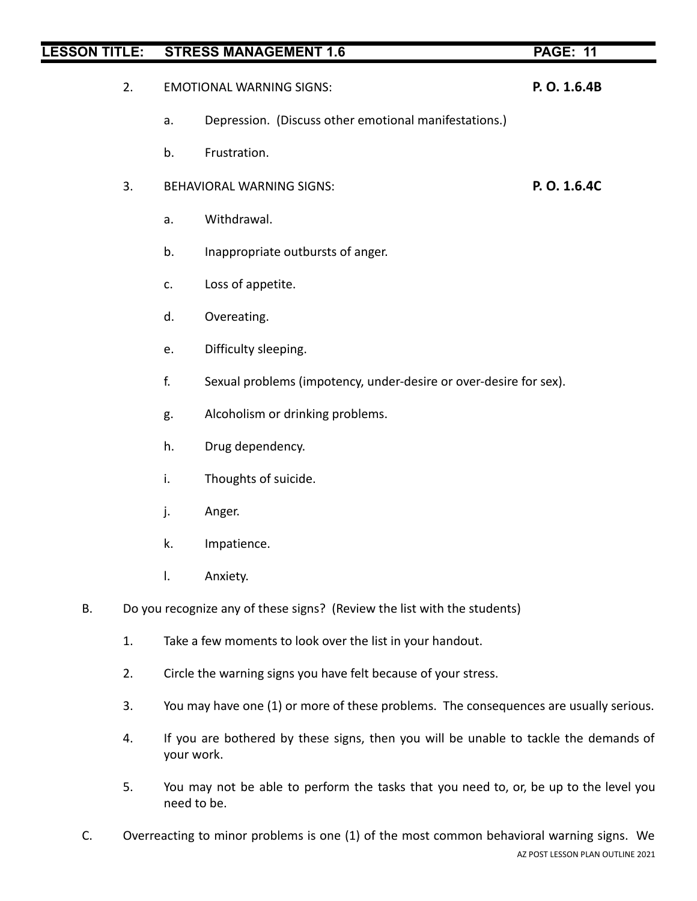- 2. EMOTIONAL WARNING SIGNS: **P. O. 1.6.4B**
	- a. Depression. (Discuss other emotional manifestations.)
	- b. Frustration.
- 3. BEHAVIORAL WARNING SIGNS: **P. O. 1.6.4C**
	- a. Withdrawal.
	- b. Inappropriate outbursts of anger.
	- c. Loss of appetite.
	- d. Overeating.
	- e. Difficulty sleeping.
	- f. Sexual problems (impotency, under-desire or over-desire for sex).
	- g. Alcoholism or drinking problems.
	- h. Drug dependency.
	- i. Thoughts of suicide.
	- j. Anger.
	- k. Impatience.
	- l. Anxiety.
- B. Do you recognize any of these signs? (Review the list with the students)
	- 1. Take a few moments to look over the list in your handout.
	- 2. Circle the warning signs you have felt because of your stress.
	- 3. You may have one (1) or more of these problems. The consequences are usually serious.
	- 4. If you are bothered by these signs, then you will be unable to tackle the demands of your work.
	- 5. You may not be able to perform the tasks that you need to, or, be up to the level you need to be.
- C. Overreacting to minor problems is one (1) of the most common behavioral warning signs. We AZ POST LESSON PLAN OUTLINE 2021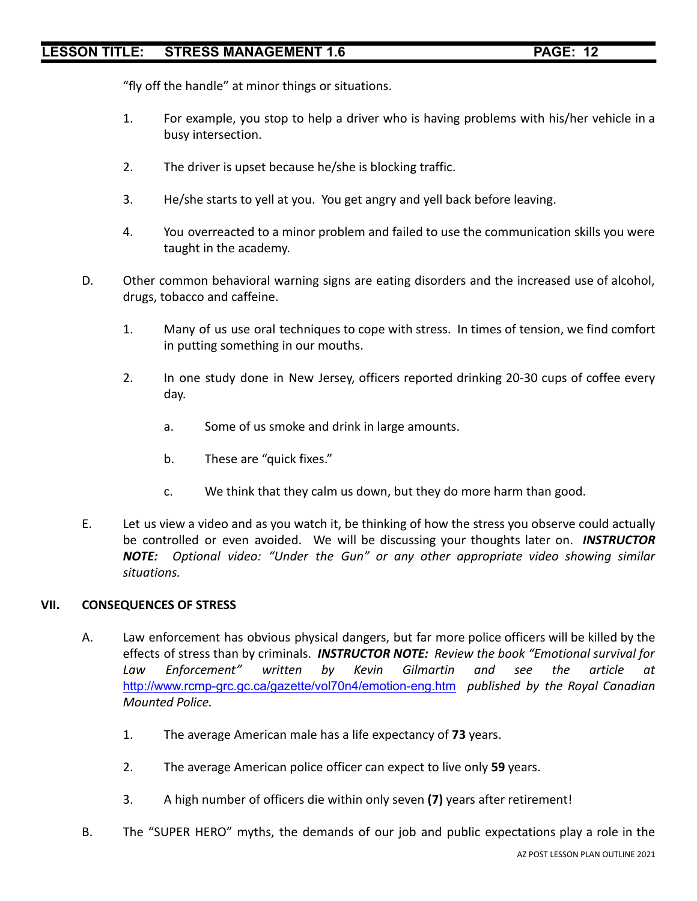"fly off the handle" at minor things or situations.

- 1. For example, you stop to help a driver who is having problems with his/her vehicle in a busy intersection.
- 2. The driver is upset because he/she is blocking traffic.
- 3. He/she starts to yell at you. You get angry and yell back before leaving.
- 4. You overreacted to a minor problem and failed to use the communication skills you were taught in the academy.
- D. Other common behavioral warning signs are eating disorders and the increased use of alcohol, drugs, tobacco and caffeine.
	- 1. Many of us use oral techniques to cope with stress. In times of tension, we find comfort in putting something in our mouths.
	- 2. In one study done in New Jersey, officers reported drinking 20-30 cups of coffee every day.
		- a. Some of us smoke and drink in large amounts.
		- b. These are "quick fixes."
		- c. We think that they calm us down, but they do more harm than good.
- E. Let us view a video and as you watch it, be thinking of how the stress you observe could actually be controlled or even avoided. We will be discussing your thoughts later on. *INSTRUCTOR NOTE: Optional video: "Under the Gun" or any other appropriate video showing similar situations.*

## **VII. CONSEQUENCES OF STRESS**

- A. Law enforcement has obvious physical dangers, but far more police officers will be killed by the effects of stress than by criminals. *INSTRUCTOR NOTE: Review the book "Emotional survival for Law Enforcement" written by Kevin Gilmartin and see the article at* <http://www.rcmp-grc.gc.ca/gazette/vol70n4/emotion-eng.htm> *published by the Royal Canadian Mounted Police.*
	- 1. The average American male has a life expectancy of **73** years.
	- 2. The average American police officer can expect to live only **59** years.
	- 3. A high number of officers die within only seven **(7)** years after retirement!
- B. The "SUPER HERO" myths, the demands of our job and public expectations play a role in the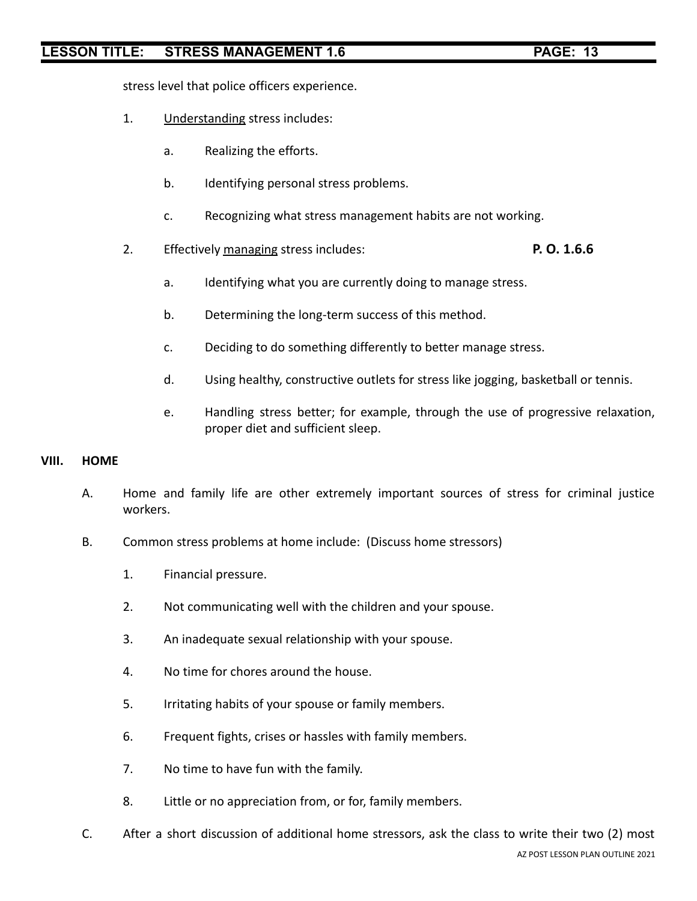stress level that police officers experience.

- 1. Understanding stress includes:
	- a. Realizing the efforts.
	- b. Identifying personal stress problems.
	- c. Recognizing what stress management habits are not working.
- 2. Effectively managing stress includes: **P. O. 1.6.6**
	- a. Identifying what you are currently doing to manage stress.
	- b. Determining the long-term success of this method.
	- c. Deciding to do something differently to better manage stress.
	- d. Using healthy, constructive outlets for stress like jogging, basketball or tennis.
	- e. Handling stress better; for example, through the use of progressive relaxation, proper diet and sufficient sleep.

#### **VIII. HOME**

- A. Home and family life are other extremely important sources of stress for criminal justice workers.
- B. Common stress problems at home include: (Discuss home stressors)
	- 1. Financial pressure.
	- 2. Not communicating well with the children and your spouse.
	- 3. An inadequate sexual relationship with your spouse.
	- 4. No time for chores around the house.
	- 5. Irritating habits of your spouse or family members.
	- 6. Frequent fights, crises or hassles with family members.
	- 7. No time to have fun with the family.
	- 8. Little or no appreciation from, or for, family members.
- C. After a short discussion of additional home stressors, ask the class to write their two (2) most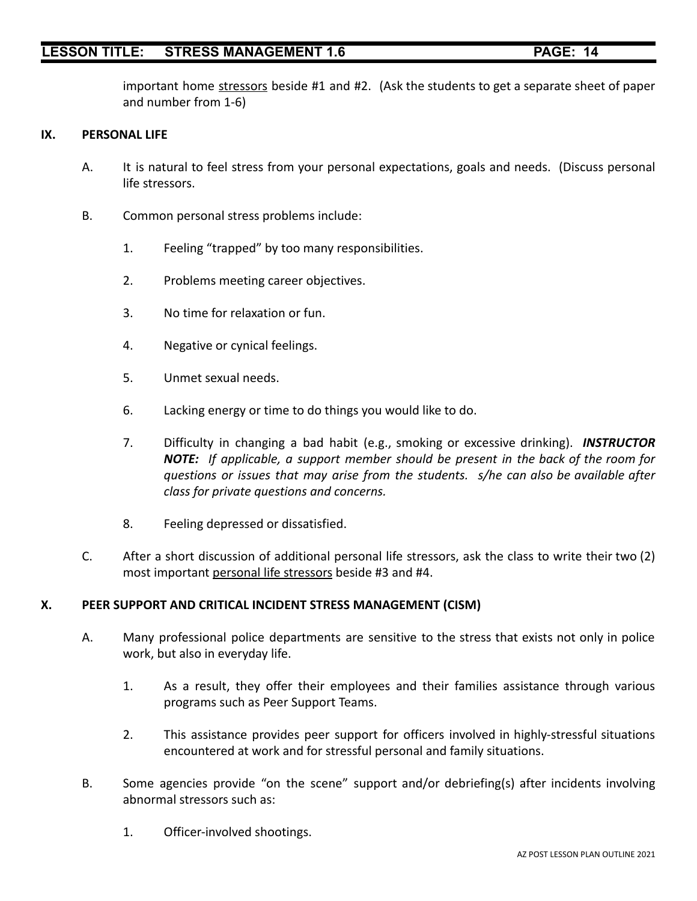important home stressors beside #1 and #2. (Ask the students to get a separate sheet of paper and number from 1-6)

#### **IX. PERSONAL LIFE**

- A. It is natural to feel stress from your personal expectations, goals and needs. (Discuss personal life stressors.
- B. Common personal stress problems include:
	- 1. Feeling "trapped" by too many responsibilities.
	- 2. Problems meeting career objectives.
	- 3. No time for relaxation or fun.
	- 4. Negative or cynical feelings.
	- 5. Unmet sexual needs.
	- 6. Lacking energy or time to do things you would like to do.
	- 7. Difficulty in changing a bad habit (e.g., smoking or excessive drinking). *INSTRUCTOR NOTE: If applicable, a support member should be present in the back of the room for questions or issues that may arise from the students. s/he can also be available after class for private questions and concerns.*
	- 8. Feeling depressed or dissatisfied.
- C. After a short discussion of additional personal life stressors, ask the class to write their two (2) most important personal life stressors beside #3 and #4.

### **X. PEER SUPPORT AND CRITICAL INCIDENT STRESS MANAGEMENT (CISM)**

- A. Many professional police departments are sensitive to the stress that exists not only in police work, but also in everyday life.
	- 1. As a result, they offer their employees and their families assistance through various programs such as Peer Support Teams.
	- 2. This assistance provides peer support for officers involved in highly-stressful situations encountered at work and for stressful personal and family situations.
- B. Some agencies provide "on the scene" support and/or debriefing(s) after incidents involving abnormal stressors such as:
	- 1. Officer-involved shootings.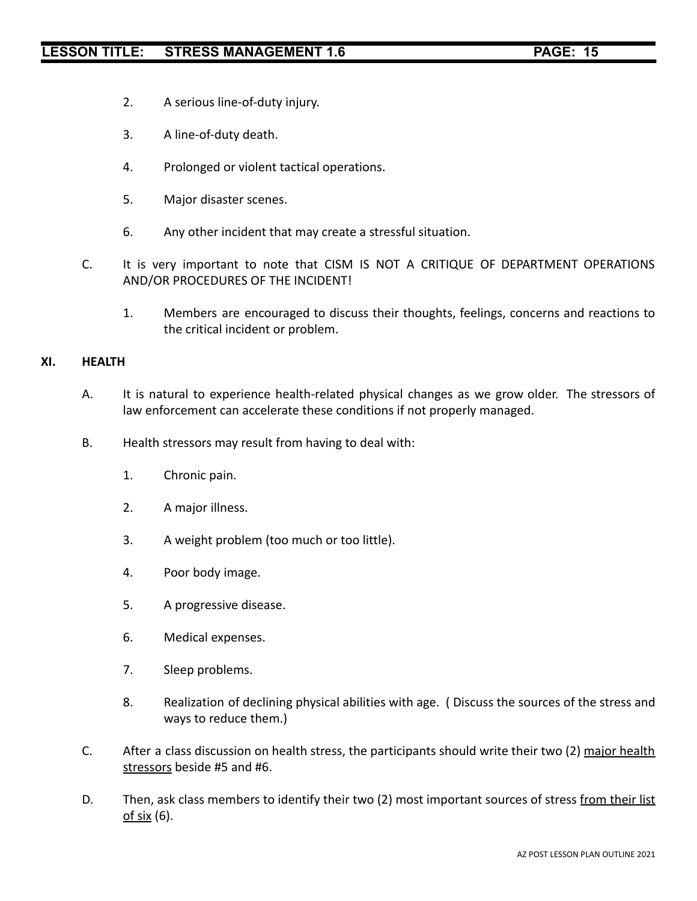- 2. A serious line-of-duty injury.
- 3. A line-of-duty death.
- 4. Prolonged or violent tactical operations.
- 5. Major disaster scenes.
- 6. Any other incident that may create a stressful situation.
- C. It is very important to note that CISM IS NOT A CRITIQUE OF DEPARTMENT OPERATIONS AND/OR PROCEDURES OF THE INCIDENT!
	- 1. Members are encouraged to discuss their thoughts, feelings, concerns and reactions to the critical incident or problem.

#### **XI. HEALTH**

- A. It is natural to experience health-related physical changes as we grow older. The stressors of law enforcement can accelerate these conditions if not properly managed.
- B. Health stressors may result from having to deal with:
	- 1. Chronic pain.
	- 2. A major illness.
	- 3. A weight problem (too much or too little).
	- 4. Poor body image.
	- 5. A progressive disease.
	- 6. Medical expenses.
	- 7. Sleep problems.
	- 8. Realization of declining physical abilities with age. ( Discuss the sources of the stress and ways to reduce them.)
- C. After a class discussion on health stress, the participants should write their two (2) major health stressors beside #5 and #6.
- D. Then, ask class members to identify their two (2) most important sources of stress from their list of six (6).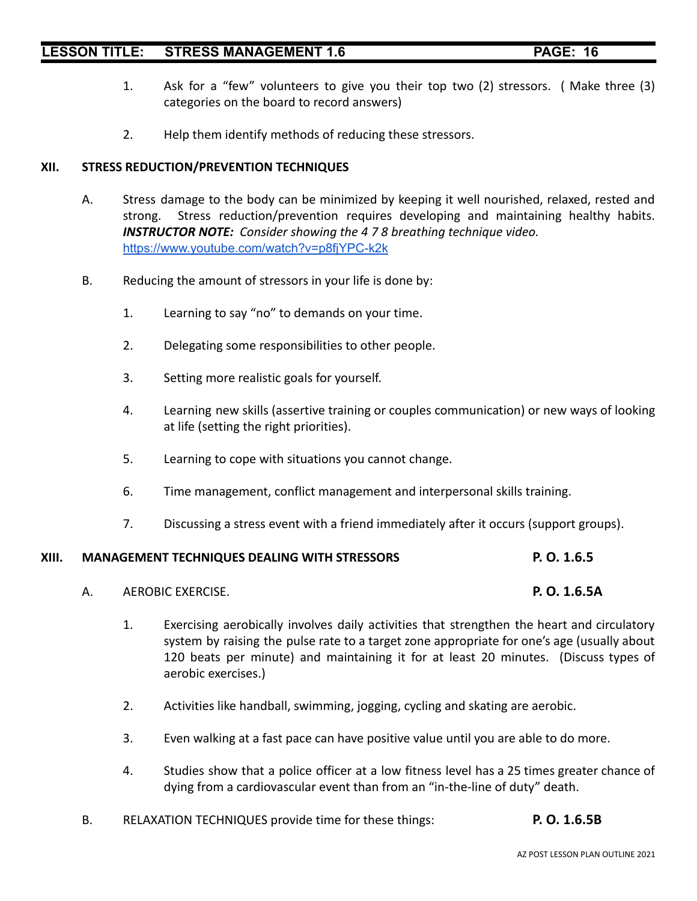- 
- 1. Ask for a "few" volunteers to give you their top two (2) stressors. ( Make three (3) categories on the board to record answers)
- 2. Help them identify methods of reducing these stressors.

### **XII. STRESS REDUCTION/PREVENTION TECHNIQUES**

- A. Stress damage to the body can be minimized by keeping it well nourished, relaxed, rested and strong. Stress reduction/prevention requires developing and maintaining healthy habits. *INSTRUCTOR NOTE: Consider showing the 4 7 8 breathing technique video.* <https://www.youtube.com/watch?v=p8fjYPC-k2k>
- B. Reducing the amount of stressors in your life is done by:
	- 1. Learning to say "no" to demands on your time.
	- 2. Delegating some responsibilities to other people.
	- 3. Setting more realistic goals for yourself.
	- 4. Learning new skills (assertive training or couples communication) or new ways of looking at life (setting the right priorities).
	- 5. Learning to cope with situations you cannot change.
	- 6. Time management, conflict management and interpersonal skills training.
	- 7. Discussing a stress event with a friend immediately after it occurs (support groups).

### **XIII. MANAGEMENT TECHNIQUES DEALING WITH STRESSORS P. O. 1.6.5**

- A. AEROBIC EXERCISE. **P. O. 1.6.5A**
- - 1. Exercising aerobically involves daily activities that strengthen the heart and circulatory system by raising the pulse rate to a target zone appropriate for one's age (usually about 120 beats per minute) and maintaining it for at least 20 minutes. (Discuss types of aerobic exercises.)
	- 2. Activities like handball, swimming, jogging, cycling and skating are aerobic.
	- 3. Even walking at a fast pace can have positive value until you are able to do more.
	- 4. Studies show that a police officer at a low fitness level has a 25 times greater chance of dying from a cardiovascular event than from an "in-the-line of duty" death.
- B. RELAXATION TECHNIQUES provide time for these things: **P. O. 1.6.5B**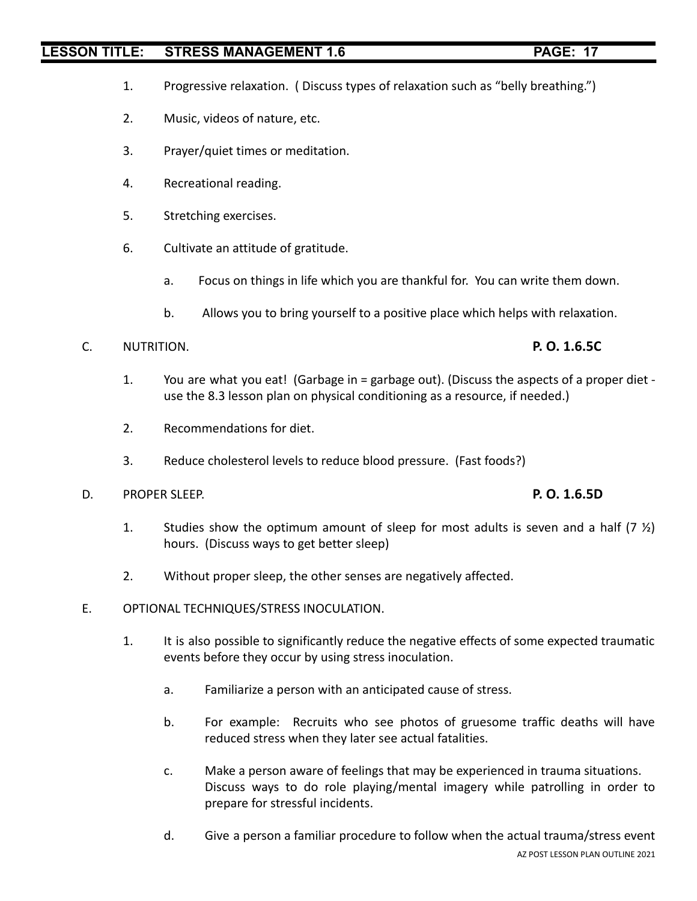- 1. Progressive relaxation. ( Discuss types of relaxation such as "belly breathing.")
- 2. Music, videos of nature, etc.
- 3. Prayer/quiet times or meditation.
- 4. Recreational reading.
- 5. Stretching exercises.
- 6. Cultivate an attitude of gratitude.
	- a. Focus on things in life which you are thankful for. You can write them down.
	- b. Allows you to bring yourself to a positive place which helps with relaxation.

# C. NUTRITION. **P. O. 1.6.5C**

- 1. You are what you eat! (Garbage in = garbage out). (Discuss the aspects of a proper diet use the 8.3 lesson plan on physical conditioning as a resource, if needed.)
- 2. Recommendations for diet.
- 3. Reduce cholesterol levels to reduce blood pressure. (Fast foods?)
- D. PROPER SLEEP. **P. O. 1.6.5D**

- 1. Studies show the optimum amount of sleep for most adults is seven and a half  $(7 \frac{1}{2})$ hours. (Discuss ways to get better sleep)
- 2. Without proper sleep, the other senses are negatively affected.
- E. OPTIONAL TECHNIQUES/STRESS INOCULATION.
	- 1. It is also possible to significantly reduce the negative effects of some expected traumatic events before they occur by using stress inoculation.
		- a. Familiarize a person with an anticipated cause of stress.
		- b. For example: Recruits who see photos of gruesome traffic deaths will have reduced stress when they later see actual fatalities.
		- c. Make a person aware of feelings that may be experienced in trauma situations. Discuss ways to do role playing/mental imagery while patrolling in order to prepare for stressful incidents.
		- d. Give a person a familiar procedure to follow when the actual trauma/stress event AZ POST LESSON PLAN OUTLINE 2021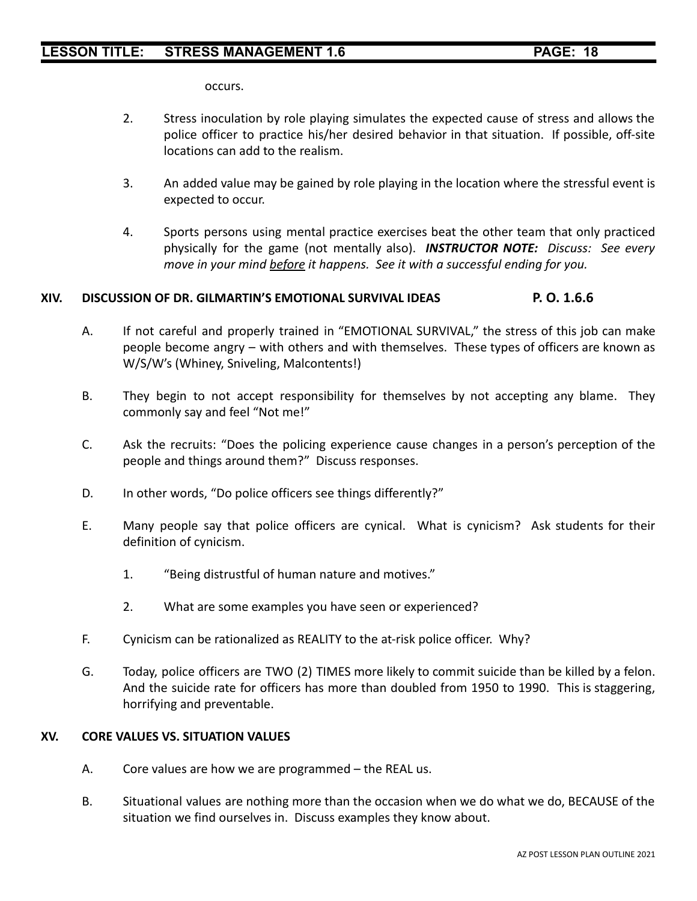occurs.

- 2. Stress inoculation by role playing simulates the expected cause of stress and allows the police officer to practice his/her desired behavior in that situation. If possible, off-site locations can add to the realism.
- 3. An added value may be gained by role playing in the location where the stressful event is expected to occur.
- 4. Sports persons using mental practice exercises beat the other team that only practiced physically for the game (not mentally also). *INSTRUCTOR NOTE: Discuss: See every move in your mind before it happens. See it with a successful ending for you.*

## **XIV. DISCUSSION OF DR. GILMARTIN'S EMOTIONAL SURVIVAL IDEAS P. O. 1.6.6**

- A. If not careful and properly trained in "EMOTIONAL SURVIVAL," the stress of this job can make people become angry – with others and with themselves. These types of officers are known as W/S/W's (Whiney, Sniveling, Malcontents!)
- B. They begin to not accept responsibility for themselves by not accepting any blame. They commonly say and feel "Not me!"
- C. Ask the recruits: "Does the policing experience cause changes in a person's perception of the people and things around them?" Discuss responses.
- D. In other words, "Do police officers see things differently?"
- E. Many people say that police officers are cynical. What is cynicism? Ask students for their definition of cynicism.
	- 1. "Being distrustful of human nature and motives."
	- 2. What are some examples you have seen or experienced?
- F. Cynicism can be rationalized as REALITY to the at-risk police officer. Why?
- G. Today, police officers are TWO (2) TIMES more likely to commit suicide than be killed by a felon. And the suicide rate for officers has more than doubled from 1950 to 1990. This is staggering, horrifying and preventable.

### **XV. CORE VALUES VS. SITUATION VALUES**

- A. Core values are how we are programmed the REAL us.
- B. Situational values are nothing more than the occasion when we do what we do, BECAUSE of the situation we find ourselves in. Discuss examples they know about.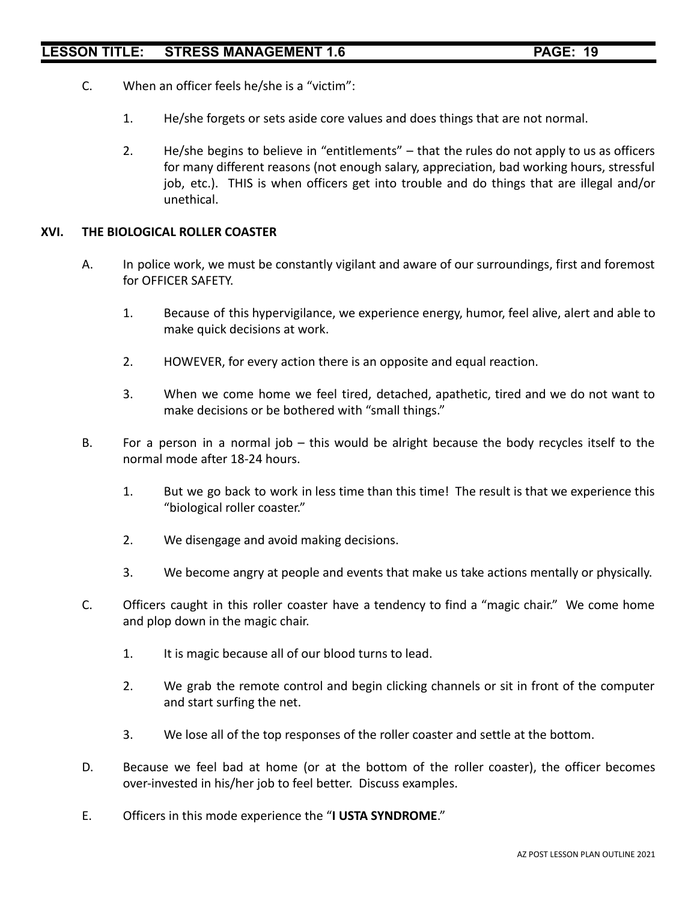- C. When an officer feels he/she is a "victim":
	- 1. He/she forgets or sets aside core values and does things that are not normal.
	- 2. He/she begins to believe in "entitlements" that the rules do not apply to us as officers for many different reasons (not enough salary, appreciation, bad working hours, stressful job, etc.). THIS is when officers get into trouble and do things that are illegal and/or unethical.

#### **XVI. THE BIOLOGICAL ROLLER COASTER**

- A. In police work, we must be constantly vigilant and aware of our surroundings, first and foremost for OFFICER SAFETY.
	- 1. Because of this hypervigilance, we experience energy, humor, feel alive, alert and able to make quick decisions at work.
	- 2. HOWEVER, for every action there is an opposite and equal reaction.
	- 3. When we come home we feel tired, detached, apathetic, tired and we do not want to make decisions or be bothered with "small things."
- B. For a person in a normal job this would be alright because the body recycles itself to the normal mode after 18-24 hours.
	- 1. But we go back to work in less time than this time! The result is that we experience this "biological roller coaster."
	- 2. We disengage and avoid making decisions.
	- 3. We become angry at people and events that make us take actions mentally or physically.
- C. Officers caught in this roller coaster have a tendency to find a "magic chair." We come home and plop down in the magic chair.
	- 1. It is magic because all of our blood turns to lead.
	- 2. We grab the remote control and begin clicking channels or sit in front of the computer and start surfing the net.
	- 3. We lose all of the top responses of the roller coaster and settle at the bottom.
- D. Because we feel bad at home (or at the bottom of the roller coaster), the officer becomes over-invested in his/her job to feel better. Discuss examples.
- E. Officers in this mode experience the "**I USTA SYNDROME**."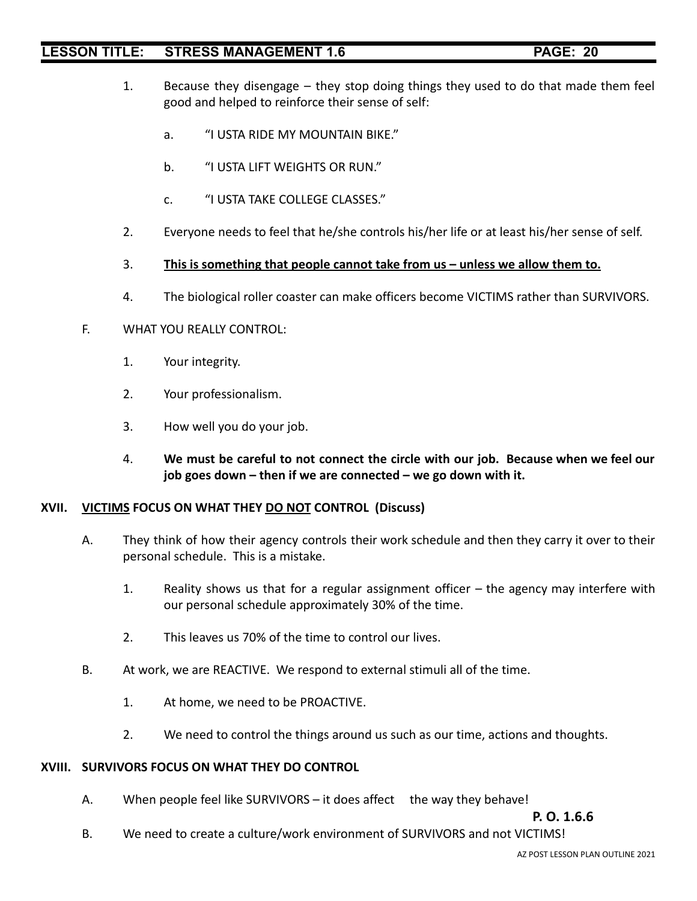- 1. Because they disengage they stop doing things they used to do that made them feel good and helped to reinforce their sense of self:
	- a. "I USTA RIDE MY MOUNTAIN BIKE."
	- b. "I USTA LIFT WEIGHTS OR RUN."
	- c. "I USTA TAKE COLLEGE CLASSES."
- 2. Everyone needs to feel that he/she controls his/her life or at least his/her sense of self.
- 3. **This is something that people cannot take from us unless we allow them to.**
- 4. The biological roller coaster can make officers become VICTIMS rather than SURVIVORS.

### F. WHAT YOU REALLY CONTROL:

- 1. Your integrity.
- 2. Your professionalism.
- 3. How well you do your job.
- 4. **We must be careful to not connect the circle with our job. Because when we feel our job goes down – then if we are connected – we go down with it.**

### **XVII. VICTIMS FOCUS ON WHAT THEY DO NOT CONTROL (Discuss)**

- A. They think of how their agency controls their work schedule and then they carry it over to their personal schedule. This is a mistake.
	- 1. Reality shows us that for a regular assignment officer the agency may interfere with our personal schedule approximately 30% of the time.
	- 2. This leaves us 70% of the time to control our lives.
- B. At work, we are REACTIVE. We respond to external stimuli all of the time.
	- 1. At home, we need to be PROACTIVE.
	- 2. We need to control the things around us such as our time, actions and thoughts.

### **XVIII. SURVIVORS FOCUS ON WHAT THEY DO CONTROL**

A. When people feel like SURVIVORS – it does affect the way they behave!

**P. O. 1.6.6**

B. We need to create a culture/work environment of SURVIVORS and not VICTIMS!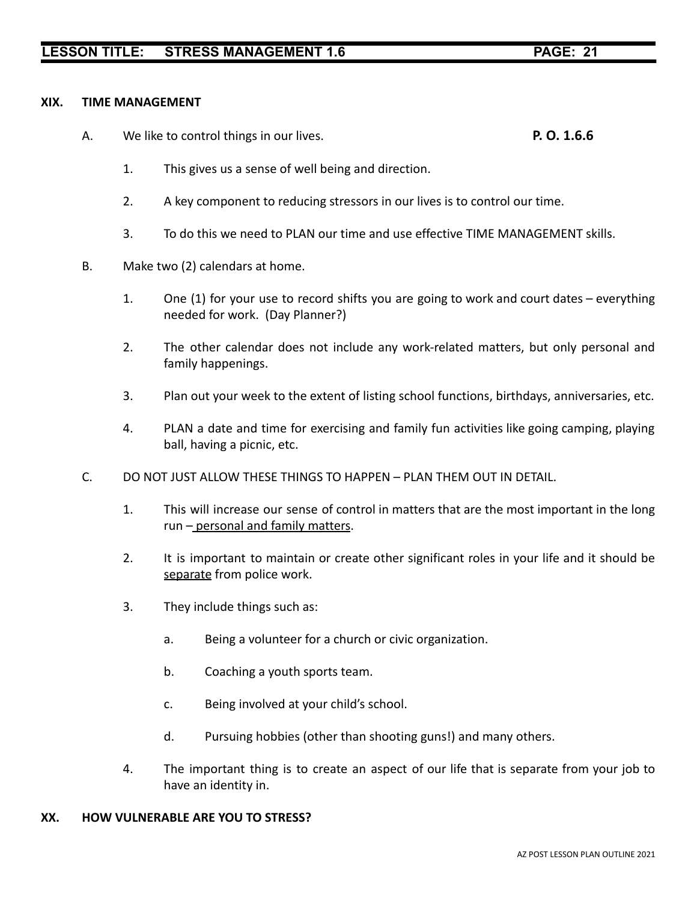### **XIX. TIME MANAGEMENT**

A. We like to control things in our lives. **P. O. 1.6.6**

- 1. This gives us a sense of well being and direction.
- 2. A key component to reducing stressors in our lives is to control our time.
- 3. To do this we need to PLAN our time and use effective TIME MANAGEMENT skills.
- B. Make two (2) calendars at home.
	- 1. One (1) for your use to record shifts you are going to work and court dates everything needed for work. (Day Planner?)
	- 2. The other calendar does not include any work-related matters, but only personal and family happenings.
	- 3. Plan out your week to the extent of listing school functions, birthdays, anniversaries, etc.
	- 4. PLAN a date and time for exercising and family fun activities like going camping, playing ball, having a picnic, etc.
- C. DO NOT JUST ALLOW THESE THINGS TO HAPPEN PLAN THEM OUT IN DETAIL.
	- 1. This will increase our sense of control in matters that are the most important in the long run – personal and family matters.
	- 2. It is important to maintain or create other significant roles in your life and it should be separate from police work.
	- 3. They include things such as:
		- a. Being a volunteer for a church or civic organization.
		- b. Coaching a youth sports team.
		- c. Being involved at your child's school.
		- d. Pursuing hobbies (other than shooting guns!) and many others.
	- 4. The important thing is to create an aspect of our life that is separate from your job to have an identity in.

### **XX. HOW VULNERABLE ARE YOU TO STRESS?**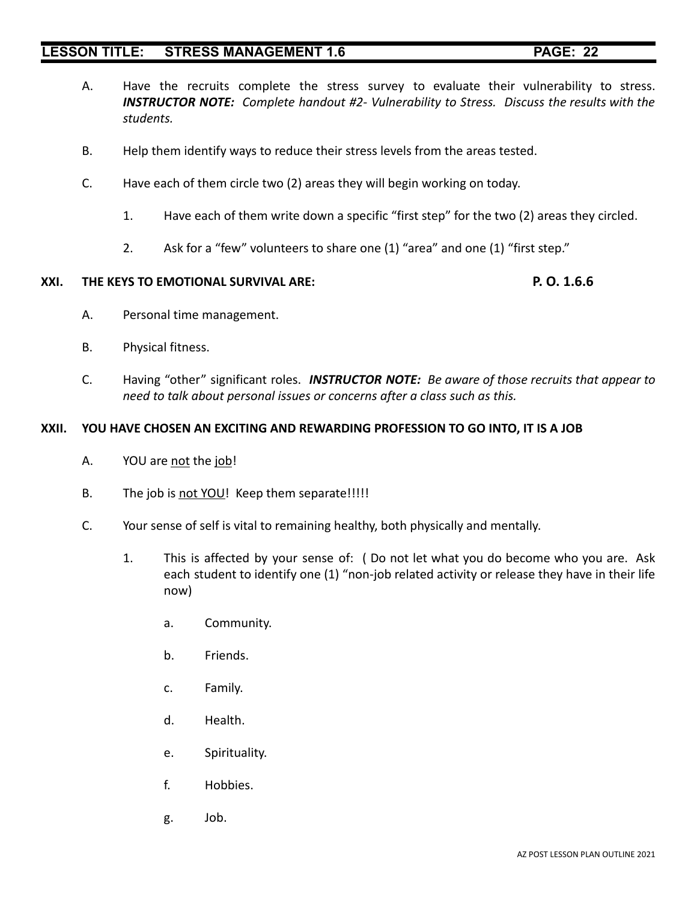- A. Have the recruits complete the stress survey to evaluate their vulnerability to stress. *INSTRUCTOR NOTE: Complete handout #2- Vulnerability to Stress. Discuss the results with the students.*
- B. Help them identify ways to reduce their stress levels from the areas tested.
- C. Have each of them circle two (2) areas they will begin working on today.
	- 1. Have each of them write down a specific "first step" for the two (2) areas they circled.
	- 2. Ask for a "few" volunteers to share one (1) "area" and one (1) "first step."

#### **XXI. THE KEYS TO EMOTIONAL SURVIVAL ARE: P. O. 1.6.6**

- A. Personal time management.
- B. Physical fitness.
- C. Having "other" significant roles. *INSTRUCTOR NOTE: Be aware of those recruits that appear to need to talk about personal issues or concerns after a class such as this.*

#### **XXII. YOU HAVE CHOSEN AN EXCITING AND REWARDING PROFESSION TO GO INTO, IT IS A JOB**

- A. YOU are not the job!
- B. The job is not YOU! Keep them separate!!!!!
- C. Your sense of self is vital to remaining healthy, both physically and mentally.
	- 1. This is affected by your sense of: ( Do not let what you do become who you are. Ask each student to identify one (1) "non-job related activity or release they have in their life now)
		- a. Community.
		- b. Friends.
		- c. Family.
		- d. Health.
		- e. Spirituality.
		- f. Hobbies.
		- g. Job.